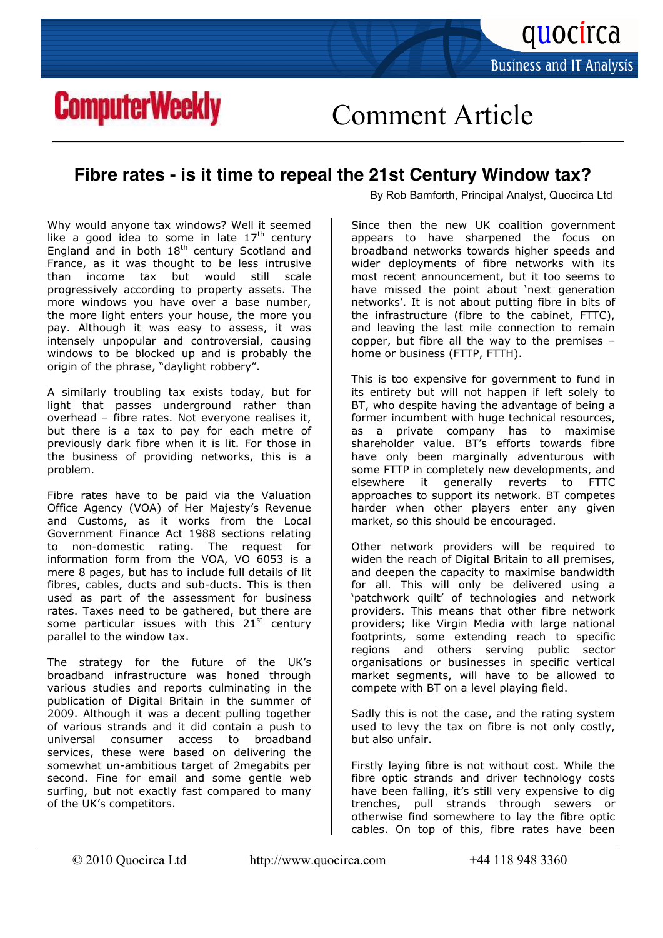

## **ComputerWeekly**

Comment Article

## **Fibre rates - is it time to repeal the 21st Century Window tax?**

Why would anyone tax windows? Well it seemed like a good idea to some in late  $17<sup>th</sup>$  century England and in both  $18<sup>th</sup>$  century Scotland and France, as it was thought to be less intrusive than income tax but would still scale progressively according to property assets. The more windows you have over a base number, the more light enters your house, the more you pay. Although it was easy to assess, it was intensely unpopular and controversial, causing windows to be blocked up and is probably the origin of the phrase, "daylight robbery".

A similarly troubling tax exists today, but for light that passes underground rather than overhead – fibre rates. Not everyone realises it, but there is a tax to pay for each metre of previously dark fibre when it is lit. For those in the business of providing networks, this is a problem.

Fibre rates have to be paid via the Valuation Office Agency (VOA) of Her Majesty's Revenue and Customs, as it works from the Local Government Finance Act 1988 sections relating to non-domestic rating. The request for information form from the VOA, VO  $6053$  is a mere 8 pages, but has to include full details of lit fibres, cables, ducts and sub-ducts. This is then used as part of the assessment for business rates. Taxes need to be gathered, but there are some particular issues with this  $21<sup>st</sup>$  century parallel to the window tax.

The strategy for the future of the UK's broadband infrastructure was honed through various studies and reports culminating in the publication of Digital Britain in the summer of 2009. Although it was a decent pulling together of various strands and it did contain a push to universal consumer access to broadband services, these were based on delivering the somewhat un-ambitious target of 2megabits per second. Fine for email and some gentle web surfing, but not exactly fast compared to many of the UK's competitors.

By Rob Bamforth, Principal Analyst, Quocirca Ltd

Since then the new UK coalition government appears to have sharpened the focus on broadband networks towards higher speeds and wider deployments of fibre networks with its most recent announcement, but it too seems to have missed the point about 'next generation networks'. It is not about putting fibre in bits of the infrastructure (fibre to the cabinet,  $FTTC$ ), and leaving the last mile connection to remain copper, but fibre all the way to the premises  $$ home or business (FTTP, FTTH).

This is too expensive for government to fund in its entirety but will not happen if left solely to BT, who despite having the advantage of being a former incumbent with huge technical resources, as a private company has to maximise shareholder value. BT's efforts towards fibre have only been marginally adventurous with some FTTP in completely new developments, and elsewhere it generally reverts to FTTC approaches to support its network. BT competes harder when other players enter any given market, so this should be encouraged.

Other network providers will be required to widen the reach of Digital Britain to all premises, and deepen the capacity to maximise bandwidth for all. This will only be delivered using a 'patchwork quilt' of technologies and network providers. This means that other fibre network providers; like Virgin Media with large national footprints, some extending reach to specific regions and others serving public sector organisations or businesses in specific vertical market segments, will have to be allowed to compete with BT on a level playing field.

Sadly this is not the case, and the rating system used to levy the tax on fibre is not only costly, but also unfair.

Firstly laying fibre is not without cost. While the fibre optic strands and driver technology costs have been falling, it's still very expensive to dig trenches, pull strands through sewers or otherwise find somewhere to lay the fibre optic cables. On top of this, fibre rates have been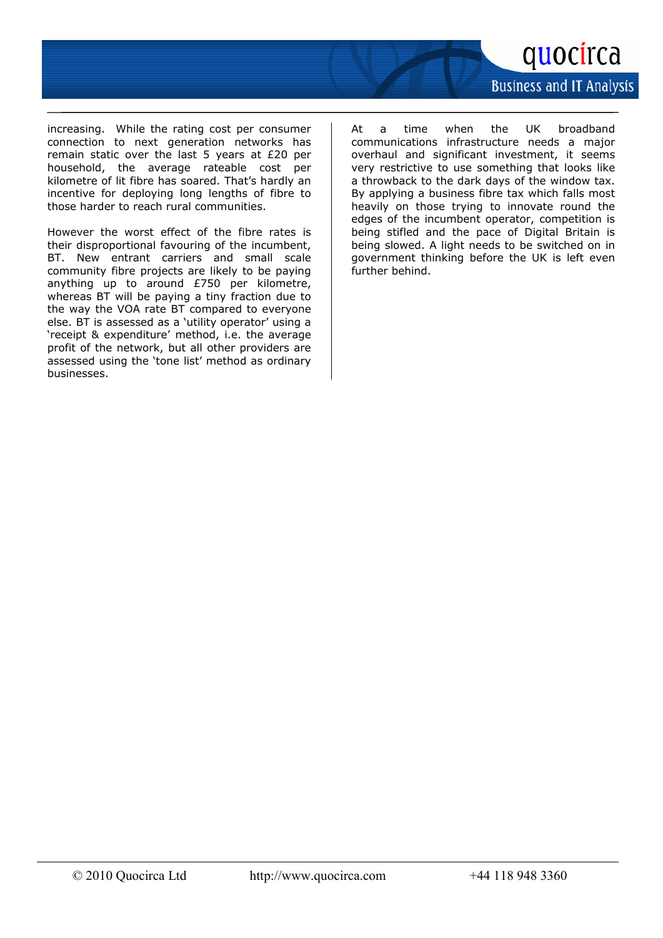

**Business and IT Analysis** 

increasing. While the rating cost per consumer  $connection$  to next generation networks has remain static over the last 5 years at  $£20$  per household, the average rateable cost per kilometre of lit fibre has soared. That's hardly an incentive for deploying long lengths of fibre to those harder to reach rural communities.

However the worst effect of the fibre rates is their disproportional favouring of the incumbent, BT. New entrant carriers and small scale community fibre projects are likely to be paying anything up to around  $£750$  per kilometre, whereas BT will be paying a tiny fraction due to the way the VOA rate BT compared to everyone else. BT is assessed as a 'utility operator' using a 'receipt & expenditure' method, i.e. the average profit of the network, but all other providers are assessed using the 'tone list' method as ordinary businesses.

At a time when the UK broadband communications infrastructure needs a major overhaul and significant investment, it seems very restrictive to use something that looks like a throwback to the dark days of the window tax. By applying a business fibre tax which falls most heavily on those trying to innovate round the edges of the incumbent operator, competition is being stifled and the pace of Digital Britain is being slowed. A light needs to be switched on in government thinking before the UK is left even further behind.